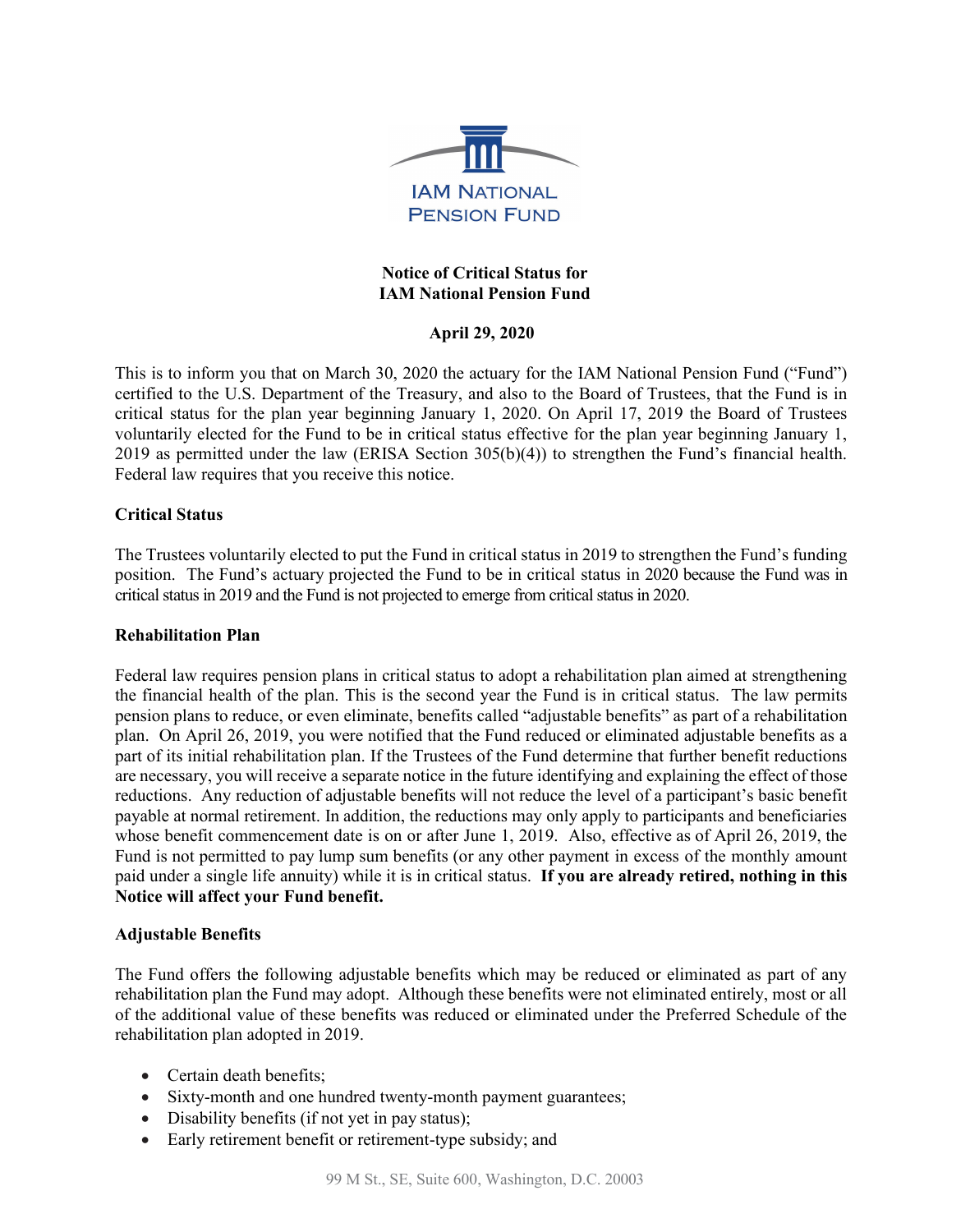

## **Notice of Critical Status for IAM National Pension Fund**

# **April 29, 2020**

This is to inform you that on March 30, 2020 the actuary for the IAM National Pension Fund ("Fund") certified to the U.S. Department of the Treasury, and also to the Board of Trustees, that the Fund is in critical status for the plan year beginning January 1, 2020. On April 17, 2019 the Board of Trustees voluntarily elected for the Fund to be in critical status effective for the plan year beginning January 1, 2019 as permitted under the law (ERISA Section 305(b)(4)) to strengthen the Fund's financial health. Federal law requires that you receive this notice.

#### **Critical Status**

The Trustees voluntarily elected to put the Fund in critical status in 2019 to strengthen the Fund's funding position. The Fund's actuary projected the Fund to be in critical status in 2020 because the Fund was in critical status in 2019 and the Fund is not projected to emerge from critical status in 2020.

#### **Rehabilitation Plan**

Federal law requires pension plans in critical status to adopt a rehabilitation plan aimed at strengthening the financial health of the plan. This is the second year the Fund is in critical status. The law permits pension plans to reduce, or even eliminate, benefits called "adjustable benefits" as part of a rehabilitation plan. On April 26, 2019, you were notified that the Fund reduced or eliminated adjustable benefits as a part of its initial rehabilitation plan. If the Trustees of the Fund determine that further benefit reductions are necessary, you will receive a separate notice in the future identifying and explaining the effect of those reductions. Any reduction of adjustable benefits will not reduce the level of a participant's basic benefit payable at normal retirement. In addition, the reductions may only apply to participants and beneficiaries whose benefit commencement date is on or after June 1, 2019. Also, effective as of April 26, 2019, the Fund is not permitted to pay lump sum benefits (or any other payment in excess of the monthly amount paid under a single life annuity) while it is in critical status. **If you are already retired, nothing in this Notice will affect your Fund benefit.**

#### **Adjustable Benefits**

The Fund offers the following adjustable benefits which may be reduced or eliminated as part of any rehabilitation plan the Fund may adopt. Although these benefits were not eliminated entirely, most or all of the additional value of these benefits was reduced or eliminated under the Preferred Schedule of the rehabilitation plan adopted in 2019.

- Certain death benefits:
- Sixty-month and one hundred twenty-month payment guarantees;
- Disability benefits (if not yet in pay status);
- Early retirement benefit or retirement-type subsidy; and